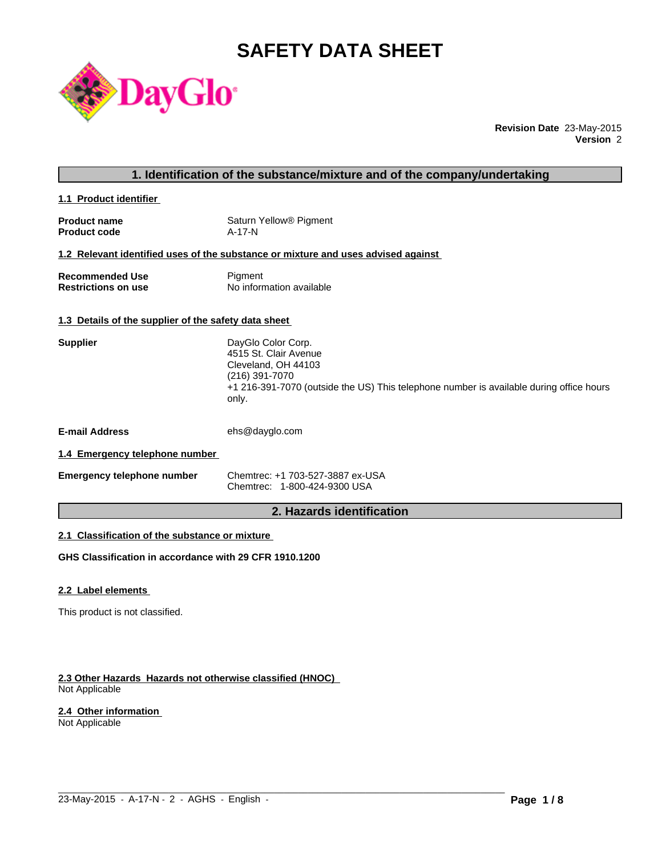# **SAFETY DATA SHEET**



**Revision Date** 23-May-2015 **Version** 2

### **1. Identification of the substance/mixture and of the company/undertaking**

**1.1 Product identifier** 

| <b>Product name</b> | Saturn Yellow <sup>®</sup> Pigment |
|---------------------|------------------------------------|
| <b>Product code</b> | A-17-N                             |

#### **1.2 Relevant identified uses of the substance or mixture and uses advised against**

| <b>Recommended Use</b>     | Pigment                  |
|----------------------------|--------------------------|
| <b>Restrictions on use</b> | No information available |

### **1.3 Details of the supplier of the safety data sheet**

| <b>Supplier</b>                | DayGlo Color Corp.<br>4515 St. Clair Avenue<br>Cleveland, OH 44103<br>(216) 391-7070<br>+1 216-391-7070 (outside the US) This telephone number is available during office hours<br>only. |
|--------------------------------|------------------------------------------------------------------------------------------------------------------------------------------------------------------------------------------|
| <b>E-mail Address</b>          | ehs@dayglo.com                                                                                                                                                                           |
| 1.4 Emergency telephone number |                                                                                                                                                                                          |

| <b>Emergency telephone number</b> | Chemtrec: +1 703-527-3887 ex-USA |
|-----------------------------------|----------------------------------|
|                                   | Chemtrec: 1-800-424-9300 USA     |

# **2. Hazards identification**

 $\_$  ,  $\_$  ,  $\_$  ,  $\_$  ,  $\_$  ,  $\_$  ,  $\_$  ,  $\_$  ,  $\_$  ,  $\_$  ,  $\_$  ,  $\_$  ,  $\_$  ,  $\_$  ,  $\_$  ,  $\_$  ,  $\_$  ,  $\_$  ,  $\_$  ,  $\_$  ,  $\_$  ,  $\_$  ,  $\_$  ,  $\_$  ,  $\_$  ,  $\_$  ,  $\_$  ,  $\_$  ,  $\_$  ,  $\_$  ,  $\_$  ,  $\_$  ,  $\_$  ,  $\_$  ,  $\_$  ,  $\_$  ,  $\_$  ,

# **2.1 Classification of the substance or mixture**

**GHS Classification in accordance with 29 CFR 1910.1200**

#### **2.2 Label elements**

This product is not classified.

#### **2.3 Other Hazards Hazards not otherwise classified (HNOC)**  Not Applicable

#### **2.4 Other information**

Not Applicable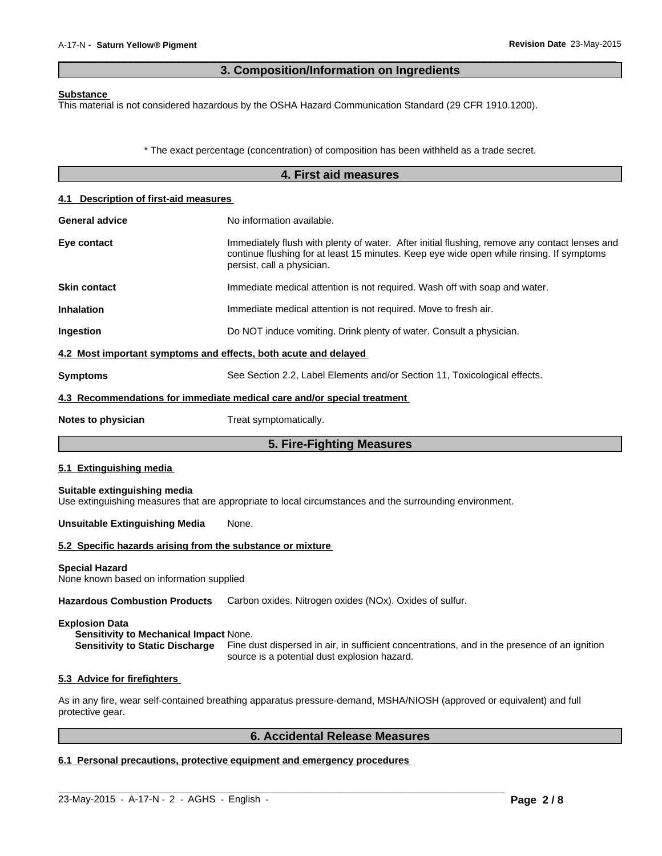# **3. Composition/Information on Ingredients**

 $\overline{\phantom{a}}$  ,  $\overline{\phantom{a}}$  ,  $\overline{\phantom{a}}$  ,  $\overline{\phantom{a}}$  ,  $\overline{\phantom{a}}$  ,  $\overline{\phantom{a}}$  ,  $\overline{\phantom{a}}$  ,  $\overline{\phantom{a}}$  ,  $\overline{\phantom{a}}$  ,  $\overline{\phantom{a}}$  ,  $\overline{\phantom{a}}$  ,  $\overline{\phantom{a}}$  ,  $\overline{\phantom{a}}$  ,  $\overline{\phantom{a}}$  ,  $\overline{\phantom{a}}$  ,  $\overline{\phantom{a}}$ 

#### **Substance**

This material is not considered hazardous by the OSHA Hazard Communication Standard (29 CFR 1910.1200).

\* The exact percentage (concentration) of composition has been withheld as a trade secret.

|                                                                   | 4. First aid measures                                                                                                                                                                                                   |
|-------------------------------------------------------------------|-------------------------------------------------------------------------------------------------------------------------------------------------------------------------------------------------------------------------|
| 4.1 Description of first-aid measures                             |                                                                                                                                                                                                                         |
| General advice                                                    | No information available.                                                                                                                                                                                               |
| Eye contact                                                       | Immediately flush with plenty of water. After initial flushing, remove any contact lenses and<br>continue flushing for at least 15 minutes. Keep eye wide open while rinsing. If symptoms<br>persist, call a physician. |
| <b>Skin contact</b>                                               | Immediate medical attention is not required. Wash off with soap and water.                                                                                                                                              |
| <b>Inhalation</b>                                                 | Immediate medical attention is not required. Move to fresh air.                                                                                                                                                         |
| Ingestion                                                         | Do NOT induce vomiting. Drink plenty of water. Consult a physician.                                                                                                                                                     |
| 4.2 Most important symptoms and effects, both acute and delayed   |                                                                                                                                                                                                                         |
| <b>Symptoms</b>                                                   | See Section 2.2, Label Elements and/or Section 11, Toxicological effects.                                                                                                                                               |
|                                                                   | 4.3 Recommendations for immediate medical care and/or special treatment                                                                                                                                                 |
| Notes to physician                                                | Treat symptomatically.                                                                                                                                                                                                  |
|                                                                   | 5. Fire-Fighting Measures                                                                                                                                                                                               |
| 5.1 Extinguishing media                                           |                                                                                                                                                                                                                         |
| Suitable extinguishing media                                      | Use extinguishing measures that are appropriate to local circumstances and the surrounding environment.                                                                                                                 |
| <b>Unsuitable Extinguishing Media</b>                             | None.                                                                                                                                                                                                                   |
| 5.2 Specific hazards arising from the substance or mixture        |                                                                                                                                                                                                                         |
| <b>Special Hazard</b><br>None known based on information supplied |                                                                                                                                                                                                                         |
| <b>Hazardous Combustion Products</b>                              | Carbon oxides. Nitrogen oxides (NOx). Oxides of sulfur.                                                                                                                                                                 |

#### **Explosion Data**

**Sensitivity to Mechanical Impact** None. **Sensitivity to Static Discharge** Fine dust dispersed in air, in sufficient concentrations, and in the presence of an ignition source is a potential dust explosion hazard.

#### **5.3 Advice for firefighters**

As in any fire, wear self-contained breathing apparatus pressure-demand, MSHA/NIOSH (approved or equivalent) and full protective gear.

 $\_$  ,  $\_$  ,  $\_$  ,  $\_$  ,  $\_$  ,  $\_$  ,  $\_$  ,  $\_$  ,  $\_$  ,  $\_$  ,  $\_$  ,  $\_$  ,  $\_$  ,  $\_$  ,  $\_$  ,  $\_$  ,  $\_$  ,  $\_$  ,  $\_$  ,  $\_$  ,  $\_$  ,  $\_$  ,  $\_$  ,  $\_$  ,  $\_$  ,  $\_$  ,  $\_$  ,  $\_$  ,  $\_$  ,  $\_$  ,  $\_$  ,  $\_$  ,  $\_$  ,  $\_$  ,  $\_$  ,  $\_$  ,  $\_$  ,

# **6. Accidental Release Measures**

# **6.1 Personal precautions, protective equipment and emergency procedures**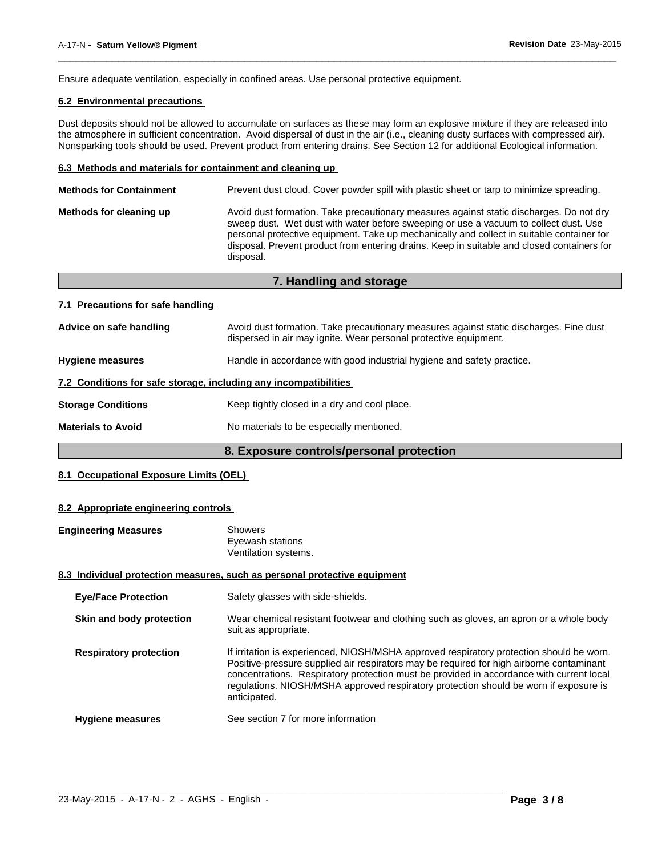Ensure adequate ventilation, especially in confined areas. Use personal protective equipment.

### **6.2 Environmental precautions**

Dust deposits should not be allowed to accumulate on surfaces as these may form an explosive mixture if they are released into the atmosphere in sufficient concentration. Avoid dispersal of dust in the air (i.e., cleaning dusty surfaces with compressed air). Nonsparking tools should be used. Prevent product from entering drains. See Section 12 for additional Ecological information.

 $\overline{\phantom{a}}$  ,  $\overline{\phantom{a}}$  ,  $\overline{\phantom{a}}$  ,  $\overline{\phantom{a}}$  ,  $\overline{\phantom{a}}$  ,  $\overline{\phantom{a}}$  ,  $\overline{\phantom{a}}$  ,  $\overline{\phantom{a}}$  ,  $\overline{\phantom{a}}$  ,  $\overline{\phantom{a}}$  ,  $\overline{\phantom{a}}$  ,  $\overline{\phantom{a}}$  ,  $\overline{\phantom{a}}$  ,  $\overline{\phantom{a}}$  ,  $\overline{\phantom{a}}$  ,  $\overline{\phantom{a}}$ 

#### **6.3 Methods and materials for containment and cleaning up**

| <b>Methods for Containment</b> | Prevent dust cloud. Cover powder spill with plastic sheet or tarp to minimize spreading.                                                                                                                                                                                                                                                                                                |
|--------------------------------|-----------------------------------------------------------------------------------------------------------------------------------------------------------------------------------------------------------------------------------------------------------------------------------------------------------------------------------------------------------------------------------------|
| Methods for cleaning up        | Avoid dust formation. Take precautionary measures against static discharges. Do not dry<br>sweep dust. Wet dust with water before sweeping or use a vacuum to collect dust. Use<br>personal protective equipment. Take up mechanically and collect in suitable container for<br>disposal. Prevent product from entering drains. Keep in suitable and closed containers for<br>disposal. |
|                                |                                                                                                                                                                                                                                                                                                                                                                                         |

| 7. Handling and storage                                          |                                                                                                                                                            |  |
|------------------------------------------------------------------|------------------------------------------------------------------------------------------------------------------------------------------------------------|--|
| 7.1 Precautions for safe handling                                |                                                                                                                                                            |  |
| Advice on safe handling                                          | Avoid dust formation. Take precautionary measures against static discharges. Fine dust<br>dispersed in air may ignite. Wear personal protective equipment. |  |
| <b>Hygiene measures</b>                                          | Handle in accordance with good industrial hygiene and safety practice.                                                                                     |  |
| 7.2 Conditions for safe storage, including any incompatibilities |                                                                                                                                                            |  |
| <b>Storage Conditions</b>                                        | Keep tightly closed in a dry and cool place.                                                                                                               |  |
| <b>Materials to Avoid</b>                                        | No materials to be especially mentioned.                                                                                                                   |  |

# **8. Exposure controls/personal protection**

#### **8.1 Occupational Exposure Limits (OEL)**

#### **8.2 Appropriate engineering controls**

| <b>Engineering Measures</b>   | <b>Showers</b><br>Eyewash stations<br>Ventilation systems.                                                                                                                                                                                                                                                                                                                                |
|-------------------------------|-------------------------------------------------------------------------------------------------------------------------------------------------------------------------------------------------------------------------------------------------------------------------------------------------------------------------------------------------------------------------------------------|
|                               | 8.3 Individual protection measures, such as personal protective equipment                                                                                                                                                                                                                                                                                                                 |
| <b>Eye/Face Protection</b>    | Safety glasses with side-shields.                                                                                                                                                                                                                                                                                                                                                         |
| Skin and body protection      | Wear chemical resistant footwear and clothing such as gloves, an apron or a whole body<br>suit as appropriate.                                                                                                                                                                                                                                                                            |
| <b>Respiratory protection</b> | If irritation is experienced, NIOSH/MSHA approved respiratory protection should be worn.<br>Positive-pressure supplied air respirators may be required for high airborne contaminant<br>concentrations. Respiratory protection must be provided in accordance with current local<br>regulations. NIOSH/MSHA approved respiratory protection should be worn if exposure is<br>anticipated. |
| <b>Hygiene measures</b>       | See section 7 for more information                                                                                                                                                                                                                                                                                                                                                        |

 $\_$  ,  $\_$  ,  $\_$  ,  $\_$  ,  $\_$  ,  $\_$  ,  $\_$  ,  $\_$  ,  $\_$  ,  $\_$  ,  $\_$  ,  $\_$  ,  $\_$  ,  $\_$  ,  $\_$  ,  $\_$  ,  $\_$  ,  $\_$  ,  $\_$  ,  $\_$  ,  $\_$  ,  $\_$  ,  $\_$  ,  $\_$  ,  $\_$  ,  $\_$  ,  $\_$  ,  $\_$  ,  $\_$  ,  $\_$  ,  $\_$  ,  $\_$  ,  $\_$  ,  $\_$  ,  $\_$  ,  $\_$  ,  $\_$  ,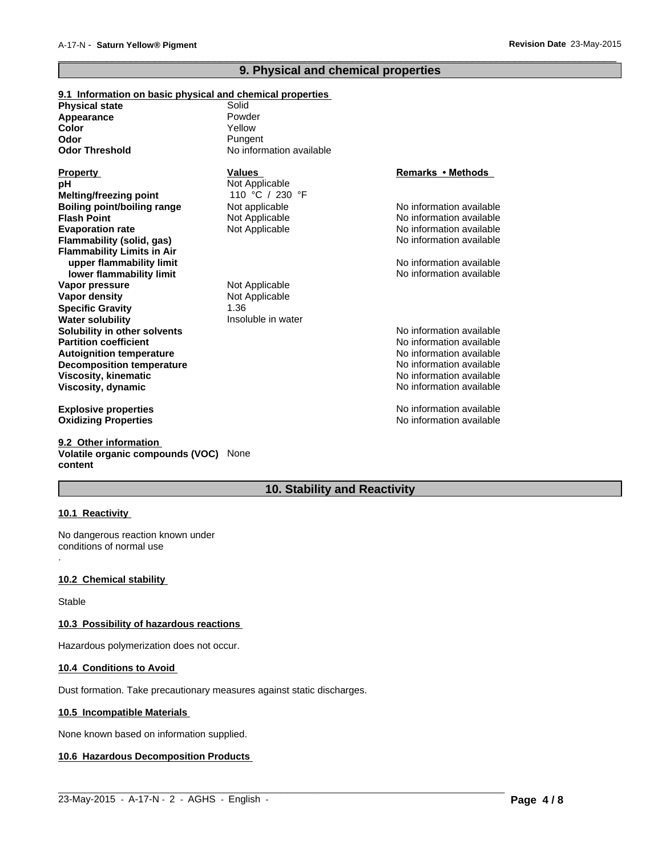# **9. Physical and chemical properties**

 $\overline{\phantom{a}}$  ,  $\overline{\phantom{a}}$  ,  $\overline{\phantom{a}}$  ,  $\overline{\phantom{a}}$  ,  $\overline{\phantom{a}}$  ,  $\overline{\phantom{a}}$  ,  $\overline{\phantom{a}}$  ,  $\overline{\phantom{a}}$  ,  $\overline{\phantom{a}}$  ,  $\overline{\phantom{a}}$  ,  $\overline{\phantom{a}}$  ,  $\overline{\phantom{a}}$  ,  $\overline{\phantom{a}}$  ,  $\overline{\phantom{a}}$  ,  $\overline{\phantom{a}}$  ,  $\overline{\phantom{a}}$ 

| 9.1 Information on basic physical and chemical properties |                          |                          |
|-----------------------------------------------------------|--------------------------|--------------------------|
| <b>Physical state</b>                                     | Solid                    |                          |
| Appearance                                                | Powder                   |                          |
| Color                                                     | Yellow                   |                          |
| Odor                                                      | Pungent                  |                          |
| <b>Odor Threshold</b>                                     | No information available |                          |
| <b>Property</b>                                           | <b>Values</b>            | Remarks • Methods        |
| рH                                                        | Not Applicable           |                          |
| Melting/freezing point                                    | 110 °C / 230 °F          |                          |
| Boiling point/boiling range                               | Not applicable           | No information available |
| <b>Flash Point</b>                                        | Not Applicable           | No information available |
| <b>Evaporation rate</b>                                   | Not Applicable           | No information available |
| <b>Flammability (solid, gas)</b>                          |                          | No information available |
| <b>Flammability Limits in Air</b>                         |                          |                          |
| upper flammability limit                                  |                          | No information available |
| lower flammability limit                                  |                          | No information available |
| Vapor pressure                                            | Not Applicable           |                          |
| Vapor density                                             | Not Applicable           |                          |
| <b>Specific Gravity</b>                                   | 1.36                     |                          |
| <b>Water solubility</b>                                   | Insoluble in water       |                          |
| Solubility in other solvents                              |                          | No information available |
| <b>Partition coefficient</b>                              |                          | No information available |
| <b>Autoignition temperature</b>                           |                          | No information available |
| <b>Decomposition temperature</b>                          |                          | No information available |
| <b>Viscosity, kinematic</b>                               |                          | No information available |
| <b>Viscosity, dynamic</b>                                 |                          | No information available |
| <b>Explosive properties</b>                               |                          | No information available |
| <b>Oxidizing Properties</b>                               |                          | No information available |
|                                                           |                          |                          |

#### **9.2 Other information Volatile organic compounds (VOC)** None **content**

# **10. Stability and Reactivity**

 $\_$  ,  $\_$  ,  $\_$  ,  $\_$  ,  $\_$  ,  $\_$  ,  $\_$  ,  $\_$  ,  $\_$  ,  $\_$  ,  $\_$  ,  $\_$  ,  $\_$  ,  $\_$  ,  $\_$  ,  $\_$  ,  $\_$  ,  $\_$  ,  $\_$  ,  $\_$  ,  $\_$  ,  $\_$  ,  $\_$  ,  $\_$  ,  $\_$  ,  $\_$  ,  $\_$  ,  $\_$  ,  $\_$  ,  $\_$  ,  $\_$  ,  $\_$  ,  $\_$  ,  $\_$  ,  $\_$  ,  $\_$  ,  $\_$  ,

#### **10.1 Reactivity**

.

No dangerous reaction known under conditions of normal use

#### **10.2 Chemical stability**

Stable

#### **10.3 Possibility of hazardous reactions**

Hazardous polymerization does not occur.

### **10.4 Conditions to Avoid**

Dust formation. Take precautionary measures against static discharges.

#### **10.5 Incompatible Materials**

None known based on information supplied.

# **10.6 Hazardous Decomposition Products**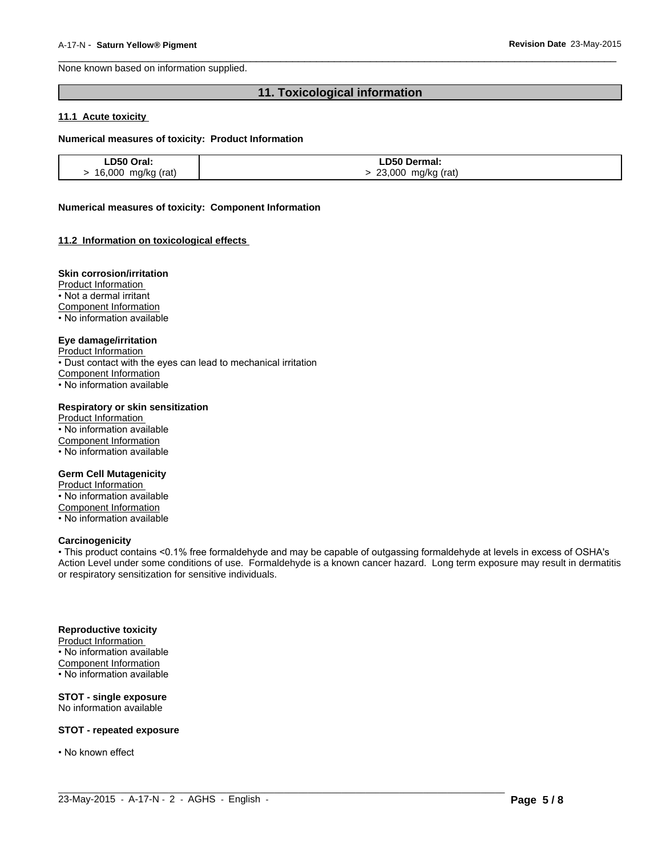None known based on information supplied.

# **11. Toxicological information**

 $\overline{\phantom{a}}$  ,  $\overline{\phantom{a}}$  ,  $\overline{\phantom{a}}$  ,  $\overline{\phantom{a}}$  ,  $\overline{\phantom{a}}$  ,  $\overline{\phantom{a}}$  ,  $\overline{\phantom{a}}$  ,  $\overline{\phantom{a}}$  ,  $\overline{\phantom{a}}$  ,  $\overline{\phantom{a}}$  ,  $\overline{\phantom{a}}$  ,  $\overline{\phantom{a}}$  ,  $\overline{\phantom{a}}$  ,  $\overline{\phantom{a}}$  ,  $\overline{\phantom{a}}$  ,  $\overline{\phantom{a}}$ 

#### **11.1 Acute toxicity**

#### **Numerical measures of toxicity: Product Information**

| LD50 Oral:         | LD50 Dermal:          |
|--------------------|-----------------------|
| 16,000 mg/kg (rat) | 23,000<br>mg/kg (rat) |

#### **Numerical measures of toxicity: Component Information**

#### **11.2 Information on toxicological effects**

#### **Skin corrosion/irritation**

Product Information

• Not a dermal irritant

Component Information

• No information available

#### **Eye damage/irritation**

Product Information

• Dust contact with the eyes can lead to mechanical irritation

Component Information

• No information available

#### **Respiratory or skin sensitization**

Product Information • No information available Component Information • No information available

#### **Germ Cell Mutagenicity**

Product Information • No information available Component Information • No information available

#### **Carcinogenicity**

• This product contains <0.1% free formaldehyde and may be capable of outgassing formaldehyde at levels in excess of OSHA's Action Level under some conditions of use. Formaldehyde is a known cancer hazard. Long term exposure may result in dermatitis or respiratory sensitization for sensitive individuals.

 $\_$  ,  $\_$  ,  $\_$  ,  $\_$  ,  $\_$  ,  $\_$  ,  $\_$  ,  $\_$  ,  $\_$  ,  $\_$  ,  $\_$  ,  $\_$  ,  $\_$  ,  $\_$  ,  $\_$  ,  $\_$  ,  $\_$  ,  $\_$  ,  $\_$  ,  $\_$  ,  $\_$  ,  $\_$  ,  $\_$  ,  $\_$  ,  $\_$  ,  $\_$  ,  $\_$  ,  $\_$  ,  $\_$  ,  $\_$  ,  $\_$  ,  $\_$  ,  $\_$  ,  $\_$  ,  $\_$  ,  $\_$  ,  $\_$  ,

#### **Reproductive toxicity**

Product Information • No information available Component Information • No information available

#### **STOT - single exposure** No information available

**STOT - repeated exposure**

• No known effect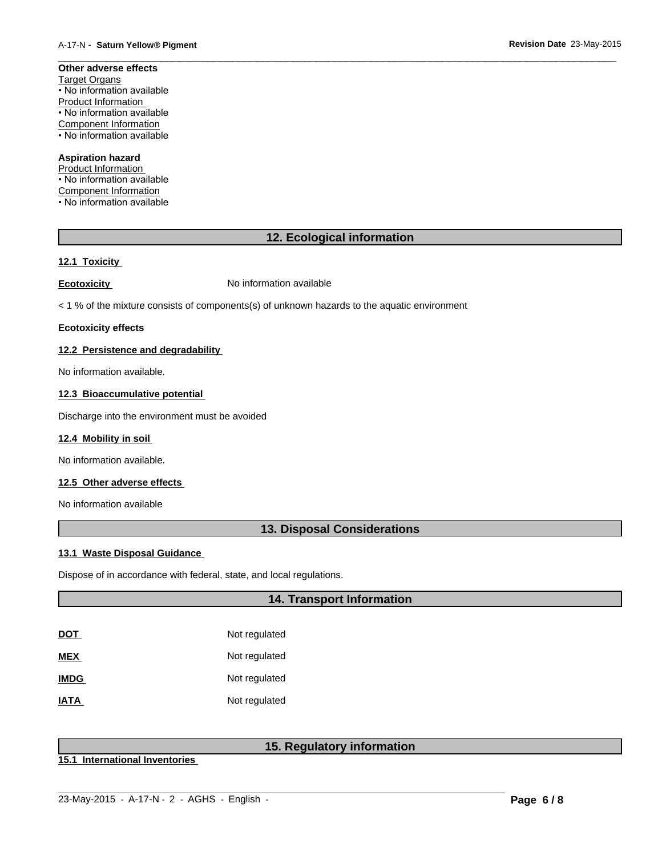#### **Other adverse effects** Target Organs • No information available Product Information • No information available Component Information • No information available

#### **Aspiration hazard**

Product Information • No information available Component Information • No information available

# **12. Ecological information**

 $\overline{\phantom{a}}$  ,  $\overline{\phantom{a}}$  ,  $\overline{\phantom{a}}$  ,  $\overline{\phantom{a}}$  ,  $\overline{\phantom{a}}$  ,  $\overline{\phantom{a}}$  ,  $\overline{\phantom{a}}$  ,  $\overline{\phantom{a}}$  ,  $\overline{\phantom{a}}$  ,  $\overline{\phantom{a}}$  ,  $\overline{\phantom{a}}$  ,  $\overline{\phantom{a}}$  ,  $\overline{\phantom{a}}$  ,  $\overline{\phantom{a}}$  ,  $\overline{\phantom{a}}$  ,  $\overline{\phantom{a}}$ 

# **12.1 Toxicity**

**Ecotoxicity No information available** 

< 1 % of the mixture consists of components(s) of unknown hazards to the aquatic environment

#### **Ecotoxicity effects**

#### **12.2 Persistence and degradability**

No information available.

# **12.3 Bioaccumulative potential**

Discharge into the environment must be avoided

#### **12.4 Mobility in soil**

No information available.

#### **12.5 Other adverse effects**

No information available

# **13. Disposal Considerations**

#### **13.1 Waste Disposal Guidance**

Dispose of in accordance with federal, state, and local regulations.

# **14. Transport Information**

| DOT         | Not regulated |
|-------------|---------------|
| MEX         | Not regulated |
| <b>IMDG</b> | Not regulated |
| <b>IATA</b> | Not regulated |

# **15. Regulatory information**

**15.1 International Inventories**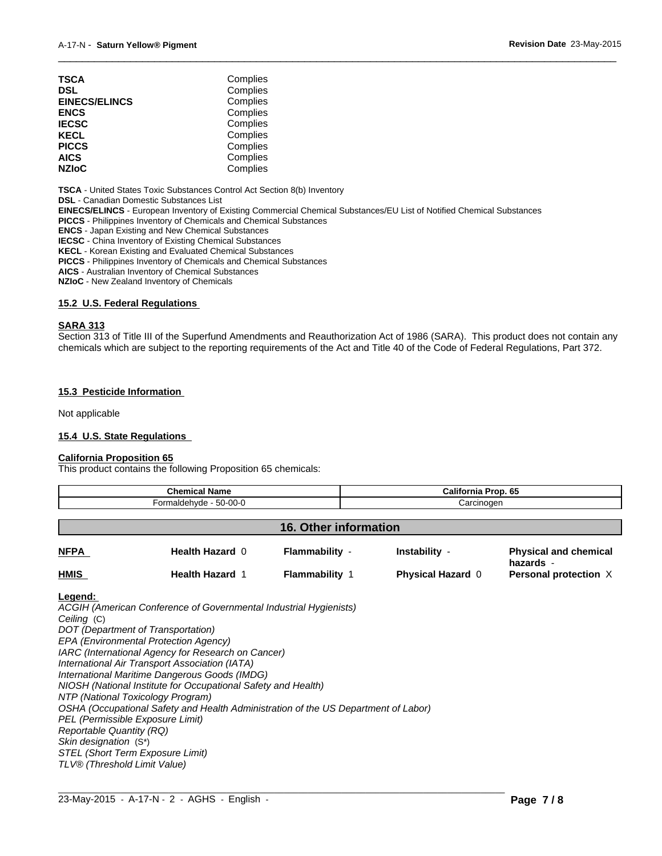| TSCA                 | Complies |  |
|----------------------|----------|--|
| DSL                  | Complies |  |
| <b>EINECS/ELINCS</b> | Complies |  |
| ENCS                 | Complies |  |
| <b>IECSC</b>         | Complies |  |
| KECL                 | Complies |  |
| PICCS                | Complies |  |
| AICS                 | Complies |  |
| <b>NZIoC</b>         | Complies |  |
|                      |          |  |

**TSCA** - United States Toxic Substances Control Act Section 8(b) Inventory

**DSL** - Canadian Domestic Substances List

**EINECS/ELINCS** - European Inventory of Existing Commercial Chemical Substances/EU List of Notified Chemical Substances

**PICCS** - Philippines Inventory of Chemicals and Chemical Substances

**ENCS** - Japan Existing and New Chemical Substances

**IECSC** - China Inventory of Existing Chemical Substances

**KECL** - Korean Existing and Evaluated Chemical Substances

**PICCS** - Philippines Inventory of Chemicals and Chemical Substances

**AICS** - Australian Inventory of Chemical Substances

**NZIoC** - New Zealand Inventory of Chemicals

#### **15.2 U.S. Federal Regulations**

#### **SARA 313**

Section 313 of Title III of the Superfund Amendments and Reauthorization Act of 1986 (SARA). This product does not contain any chemicals which are subject to the reporting requirements of the Act and Title 40 of the Code of Federal Regulations, Part 372.

 $\overline{\phantom{a}}$  ,  $\overline{\phantom{a}}$  ,  $\overline{\phantom{a}}$  ,  $\overline{\phantom{a}}$  ,  $\overline{\phantom{a}}$  ,  $\overline{\phantom{a}}$  ,  $\overline{\phantom{a}}$  ,  $\overline{\phantom{a}}$  ,  $\overline{\phantom{a}}$  ,  $\overline{\phantom{a}}$  ,  $\overline{\phantom{a}}$  ,  $\overline{\phantom{a}}$  ,  $\overline{\phantom{a}}$  ,  $\overline{\phantom{a}}$  ,  $\overline{\phantom{a}}$  ,  $\overline{\phantom{a}}$ 

#### **15.3 Pesticide Information**

Not applicable

#### **15.4 U.S. State Regulations**

#### **California Proposition 65**

This product contains the following Proposition 65 chemicals:

| Chemical Name<br>Formaldehyde - 50-00-0 |                        |                       | <b>California Prop. 65</b><br>Carcinogen |                                           |
|-----------------------------------------|------------------------|-----------------------|------------------------------------------|-------------------------------------------|
|                                         |                        |                       |                                          |                                           |
| <b>NFPA</b>                             | Health Hazard 0        | Flammability -        | Instability -                            | <b>Physical and chemical</b><br>hazards - |
| <b>HMIS</b>                             | <b>Health Hazard 1</b> | <b>Flammability 1</b> | <b>Physical Hazard 0</b>                 | Personal protection X                     |

 $\_$  ,  $\_$  ,  $\_$  ,  $\_$  ,  $\_$  ,  $\_$  ,  $\_$  ,  $\_$  ,  $\_$  ,  $\_$  ,  $\_$  ,  $\_$  ,  $\_$  ,  $\_$  ,  $\_$  ,  $\_$  ,  $\_$  ,  $\_$  ,  $\_$  ,  $\_$  ,  $\_$  ,  $\_$  ,  $\_$  ,  $\_$  ,  $\_$  ,  $\_$  ,  $\_$  ,  $\_$  ,  $\_$  ,  $\_$  ,  $\_$  ,  $\_$  ,  $\_$  ,  $\_$  ,  $\_$  ,  $\_$  ,  $\_$  ,

#### **Legend:**

*ACGIH (American Conference of Governmental Industrial Hygienists) Ceiling* (C) *DOT (Department of Transportation) EPA (Environmental Protection Agency) IARC (International Agency for Research on Cancer) International Air Transport Association (IATA) International Maritime Dangerous Goods (IMDG) NIOSH (National Institute for Occupational Safety and Health) NTP (National Toxicology Program) OSHA (Occupational Safety and Health Administration of the US Department of Labor) PEL (Permissible Exposure Limit) Reportable Quantity (RQ) Skin designation* (S\*) *STEL (Short Term Exposure Limit) TLV® (Threshold Limit Value)*